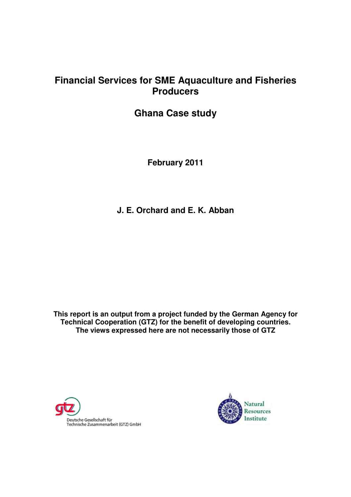# **Financial Services for SME Aquaculture and Fisheries Producers**

**Ghana Case study** 

**February 2011** 

**J. E. Orchard and E. K. Abban** 

**This report is an output from a project funded by the German Agency for Technical Cooperation (GTZ) for the benefit of developing countries. The views expressed here are not necessarily those of GTZ** 



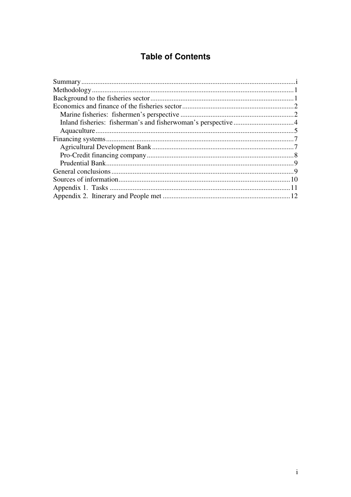# **Table of Contents**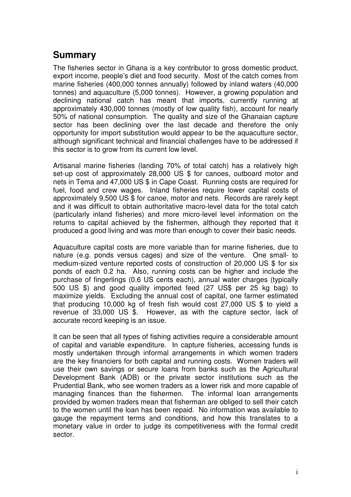# **Summary**

The fisheries sector in Ghana is a key contributor to gross domestic product, export income, people's diet and food security. Most of the catch comes from marine fisheries (400,000 tonnes annually) followed by inland waters (40,000 tonnes) and aquaculture (5,000 tonnes). However, a growing population and declining national catch has meant that imports, currently running at approximately 430,000 tonnes (mostly of low quality fish), account for nearly 50% of national consumption. The quality and size of the Ghanaian capture sector has been declining over the last decade and therefore the only opportunity for import substitution would appear to be the aquaculture sector, although significant technical and financial challenges have to be addressed if this sector is to grow from its current low level.

Artisanal marine fisheries (landing 70% of total catch) has a relatively high set-up cost of approximately 28,000 US \$ for canoes, outboard motor and nets in Tema and 47,000 US \$ in Cape Coast. Running costs are required for fuel, food and crew wages. Inland fisheries require lower capital costs of approximately 9,500 US \$ for canoe, motor and nets. Records are rarely kept and it was difficult to obtain authoritative macro-level data for the total catch (particularly inland fisheries) and more micro-level level information on the returns to capital achieved by the fishermen, although they reported that it produced a good living and was more than enough to cover their basic needs.

Aquaculture capital costs are more variable than for marine fisheries, due to nature (e.g. ponds versus cages) and size of the venture. One small- to medium-sized venture reported costs of construction of 20,000 US \$ for six ponds of each 0.2 ha. Also, running costs can be higher and include the purchase of fingerlings (0.6 US cents each), annual water charges (typically 500 US \$) and good quality imported feed (27 US\$ per 25 kg bag) to maximize yields. Excluding the annual cost of capital, one farmer estimated that producing 10,000 kg of fresh fish would cost 27,000 US \$ to yield a revenue of 33,000 US \$. However, as with the capture sector, lack of accurate record keeping is an issue.

It can be seen that all types of fishing activities require a considerable amount of capital and variable expenditure. In capture fisheries, accessing funds is mostly undertaken through informal arrangements in which women traders are the key financiers for both capital and running costs. Women traders will use their own savings or secure loans from banks such as the Agricultural Development Bank (ADB) or the private sector institutions such as the Prudential Bank, who see women traders as a lower risk and more capable of managing finances than the fishermen. The informal loan arrangements provided by women traders mean that fisherman are obliged to sell their catch to the women until the loan has been repaid. No information was available to gauge the repayment terms and conditions, and how this translates to a monetary value in order to judge its competitiveness with the formal credit sector.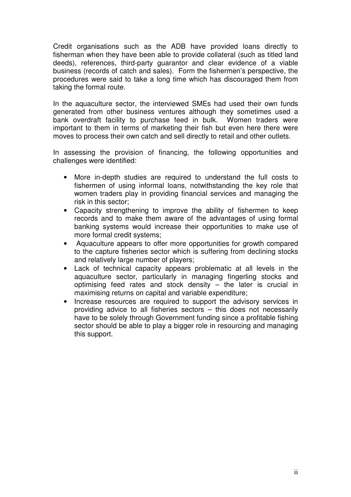Credit organisations such as the ADB have provided loans directly to fisherman when they have been able to provide collateral (such as titled land deeds), references, third-party guarantor and clear evidence of a viable business (records of catch and sales). Form the fishermen's perspective, the procedures were said to take a long time which has discouraged them from taking the formal route.

In the aquaculture sector, the interviewed SMEs had used their own funds generated from other business ventures although they sometimes used a bank overdraft facility to purchase feed in bulk. Women traders were important to them in terms of marketing their fish but even here there were moves to process their own catch and sell directly to retail and other outlets.

In assessing the provision of financing, the following opportunities and challenges were identified:

- More in-depth studies are required to understand the full costs to fishermen of using informal loans, notwithstanding the key role that women traders play in providing financial services and managing the risk in this sector;
- Capacity strengthening to improve the ability of fishermen to keep records and to make them aware of the advantages of using formal banking systems would increase their opportunities to make use of more formal credit systems;
- Aquaculture appears to offer more opportunities for growth compared to the capture fisheries sector which is suffering from declining stocks and relatively large number of players;
- Lack of technical capacity appears problematic at all levels in the aquaculture sector, particularly in managing fingerling stocks and optimising feed rates and stock density – the later is crucial in maximising returns on capital and variable expenditure;
- Increase resources are required to support the advisory services in providing advice to all fisheries sectors – this does not necessarily have to be solely through Government funding since a profitable fishing sector should be able to play a bigger role in resourcing and managing this support.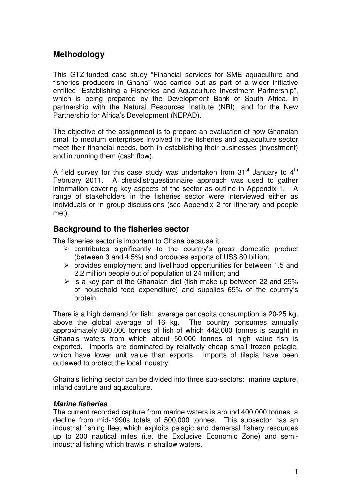## **Methodology**

This GTZ-funded case study "Financial services for SME aquaculture and fisheries producers in Ghana" was carried out as part of a wider initiative entitled "Establishing a Fisheries and Aquaculture Investment Partnership", which is being prepared by the Development Bank of South Africa, in partnership with the Natural Resources Institute (NRI), and for the New Partnership for Africa's Development (NEPAD).

The objective of the assignment is to prepare an evaluation of how Ghanaian small to medium enterprises involved in the fisheries and aquaculture sector meet their financial needs, both in establishing their businesses (investment) and in running them (cash flow).

A field survey for this case study was undertaken from  $31<sup>st</sup>$  January to  $4<sup>th</sup>$ February 2011. A checklist/questionnaire approach was used to gather information covering key aspects of the sector as outline in Appendix 1. A range of stakeholders in the fisheries sector were interviewed either as individuals or in group discussions (see Appendix 2 for itinerary and people met).

### **Background to the fisheries sector**

The fisheries sector is important to Ghana because it:

- $\triangleright$  contributes significantly to the country's gross domestic product (between 3 and 4.5%) and produces exports of US\$ 80 billion;
- $\triangleright$  provides employment and livelihood opportunities for between 1.5 and 2.2 million people out of population of 24 million; and
- $\triangleright$  is a key part of the Ghanaian diet (fish make up between 22 and 25% of household food expenditure) and supplies 65% of the country's protein.

There is a high demand for fish: average per capita consumption is 20-25 kg. above the global average of 16 kg. The country consumes annually approximately 880,000 tonnes of fish of which 442,000 tonnes is caught in Ghana's waters from which about 50,000 tonnes of high value fish is exported. Imports are dominated by relatively cheap small frozen pelagic, which have lower unit value than exports. Imports of tilapia have been outlawed to protect the local industry.

Ghana's fishing sector can be divided into three sub-sectors: marine capture, inland capture and aquaculture.

### **Marine fisheries**

The current recorded capture from marine waters is around 400,000 tonnes, a decline from mid-1990s totals of 500,000 tonnes. This subsector has an industrial fishing fleet which exploits pelagic and demersal fishery resources up to 200 nautical miles (i.e. the Exclusive Economic Zone) and semiindustrial fishing which trawls in shallow waters.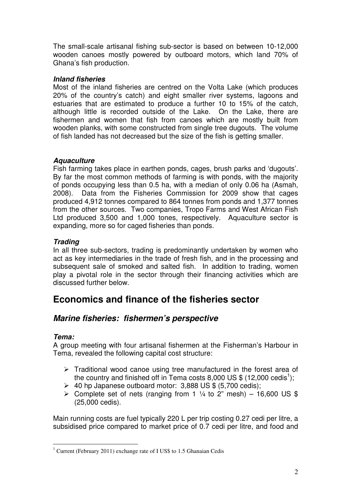The small-scale artisanal fishing sub-sector is based on between 10-12,000 wooden canoes mostly powered by outboard motors, which land 70% of Ghana's fish production.

### **Inland fisheries**

Most of the inland fisheries are centred on the Volta Lake (which produces 20% of the country's catch) and eight smaller river systems, lagoons and estuaries that are estimated to produce a further 10 to 15% of the catch, although little is recorded outside of the Lake. On the Lake, there are fishermen and women that fish from canoes which are mostly built from wooden planks, with some constructed from single tree dugouts. The volume of fish landed has not decreased but the size of the fish is getting smaller.

### **Aquaculture**

Fish farming takes place in earthen ponds, cages, brush parks and 'dugouts'. By far the most common methods of farming is with ponds, with the majority of ponds occupying less than 0.5 ha, with a median of only 0.06 ha (Asmah, 2008). Data from the Fisheries Commission for 2009 show that cages produced 4,912 tonnes compared to 864 tonnes from ponds and 1,377 tonnes from the other sources. Two companies, Tropo Farms and West African Fish Ltd produced 3,500 and 1,000 tones, respectively. Aquaculture sector is expanding, more so for caged fisheries than ponds.

### **Trading**

In all three sub-sectors, trading is predominantly undertaken by women who act as key intermediaries in the trade of fresh fish, and in the processing and subsequent sale of smoked and salted fish. In addition to trading, women play a pivotal role in the sector through their financing activities which are discussed further below.

# **Economics and finance of the fisheries sector**

## **Marine fisheries: fishermen's perspective**

### **Tema:**

A group meeting with four artisanal fishermen at the Fisherman's Harbour in Tema, revealed the following capital cost structure:

- $\triangleright$  Traditional wood canoe using tree manufactured in the forest area of the country and finished off in Tema costs 8,000 US \$ (12,000 cedis<sup>1</sup>);
- $\geq$  40 hp Japanese outboard motor: 3,888 US \$ (5,700 cedis);
- $\triangleright$  Complete set of nets (ranging from 1 ¼ to 2" mesh) 16,600 US \$ (25,000 cedis).

Main running costs are fuel typically 220 L per trip costing 0.27 cedi per litre, a subsidised price compared to market price of 0.7 cedi per litre, and food and

 $\overline{a}$ <sup>1</sup> Current (February 2011) exchange rate of I US\$ to 1.5 Ghanaian Cedis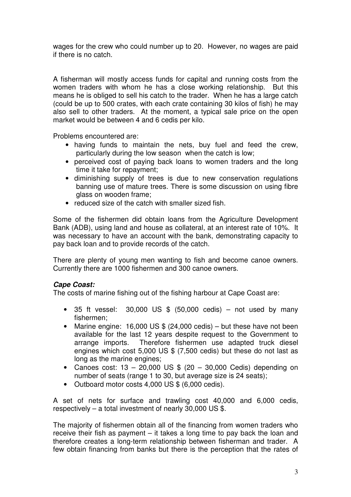wages for the crew who could number up to 20. However, no wages are paid if there is no catch.

A fisherman will mostly access funds for capital and running costs from the women traders with whom he has a close working relationship. But this means he is obliged to sell his catch to the trader. When he has a large catch (could be up to 500 crates, with each crate containing 30 kilos of fish) he may also sell to other traders. At the moment, a typical sale price on the open market would be between 4 and 6 cedis per kilo.

Problems encountered are:

- having funds to maintain the nets, buy fuel and feed the crew, particularly during the low season when the catch is low;
- perceived cost of paying back loans to women traders and the long time it take for repayment;
- diminishing supply of trees is due to new conservation regulations banning use of mature trees. There is some discussion on using fibre glass on wooden frame;
- reduced size of the catch with smaller sized fish.

Some of the fishermen did obtain loans from the Agriculture Development Bank (ADB), using land and house as collateral, at an interest rate of 10%. It was necessary to have an account with the bank, demonstrating capacity to pay back loan and to provide records of the catch.

There are plenty of young men wanting to fish and become canoe owners. Currently there are 1000 fishermen and 300 canoe owners.

#### **Cape Coast:**

The costs of marine fishing out of the fishing harbour at Cape Coast are:

- 35 ft vessel:  $30,000$  US \$  $(50,000 \text{ cedis})$  not used by many fishermen;
- Marine engine: 16,000 US \$ (24,000 cedis) but these have not been available for the last 12 years despite request to the Government to arrange imports. Therefore fishermen use adapted truck diesel engines which cost 5,000 US \$ (7,500 cedis) but these do not last as long as the marine engines;
- Canoes cost:  $13 20,000$  US \$  $(20 30,000$  Cedis) depending on number of seats (range 1 to 30, but average size is 24 seats);
- Outboard motor costs 4,000 US \$ (6,000 cedis).

A set of nets for surface and trawling cost 40,000 and 6,000 cedis, respectively – a total investment of nearly 30,000 US \$.

The majority of fishermen obtain all of the financing from women traders who receive their fish as payment – it takes a long time to pay back the loan and therefore creates a long-term relationship between fisherman and trader. A few obtain financing from banks but there is the perception that the rates of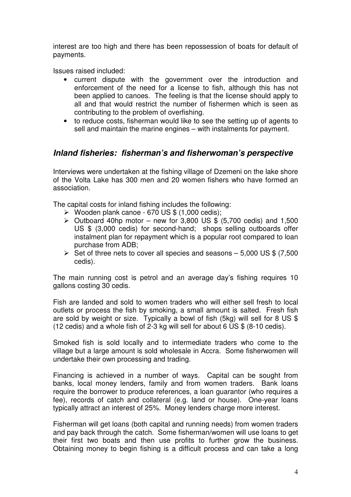interest are too high and there has been repossession of boats for default of payments.

Issues raised included:

- current dispute with the government over the introduction and enforcement of the need for a license to fish, although this has not been applied to canoes. The feeling is that the license should apply to all and that would restrict the number of fishermen which is seen as contributing to the problem of overfishing.
- to reduce costs, fisherman would like to see the setting up of agents to sell and maintain the marine engines – with instalments for payment.

### **Inland fisheries: fisherman's and fisherwoman's perspective**

Interviews were undertaken at the fishing village of Dzemeni on the lake shore of the Volta Lake has 300 men and 20 women fishers who have formed an association.

The capital costs for inland fishing includes the following:

- $\triangleright$  Wooden plank canoe 670 US \$ (1,000 cedis);
- $\geq$  Outboard 40hp motor new for 3,800 US \$ (5,700 cedis) and 1,500 US \$ (3,000 cedis) for second-hand; shops selling outboards offer instalment plan for repayment which is a popular root compared to loan purchase from ADB;
- $\triangleright$  Set of three nets to cover all species and seasons  $-5,000$  US \$ (7,500) cedis).

The main running cost is petrol and an average day's fishing requires 10 gallons costing 30 cedis.

Fish are landed and sold to women traders who will either sell fresh to local outlets or process the fish by smoking, a small amount is salted. Fresh fish are sold by weight or size. Typically a bowl of fish (5kg) will sell for 8 US \$ (12 cedis) and a whole fish of 2-3 kg will sell for about 6 US \$ (8-10 cedis).

Smoked fish is sold locally and to intermediate traders who come to the village but a large amount is sold wholesale in Accra. Some fisherwomen will undertake their own processing and trading.

Financing is achieved in a number of ways. Capital can be sought from banks, local money lenders, family and from women traders. Bank loans require the borrower to produce references, a loan guarantor (who requires a fee), records of catch and collateral (e.g. land or house). One-year loans typically attract an interest of 25%. Money lenders charge more interest.

Fisherman will get loans (both capital and running needs) from women traders and pay back through the catch. Some fisherman/women will use loans to get their first two boats and then use profits to further grow the business. Obtaining money to begin fishing is a difficult process and can take a long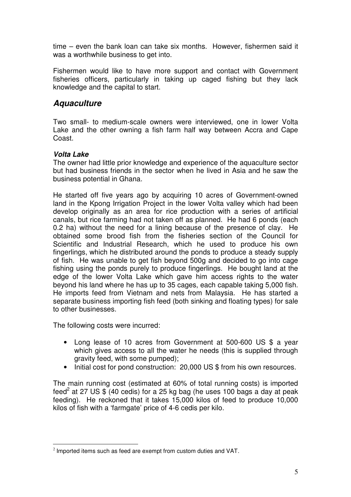time – even the bank loan can take six months. However, fishermen said it was a worthwhile business to get into.

Fishermen would like to have more support and contact with Government fisheries officers, particularly in taking up caged fishing but they lack knowledge and the capital to start.

## **Aquaculture**

Two small- to medium-scale owners were interviewed, one in lower Volta Lake and the other owning a fish farm half way between Accra and Cape Coast.

#### **Volta Lake**

The owner had little prior knowledge and experience of the aquaculture sector but had business friends in the sector when he lived in Asia and he saw the business potential in Ghana.

He started off five years ago by acquiring 10 acres of Government-owned land in the Kpong Irrigation Project in the lower Volta valley which had been develop originally as an area for rice production with a series of artificial canals, but rice farming had not taken off as planned. He had 6 ponds (each 0.2 ha) without the need for a lining because of the presence of clay. He obtained some brood fish from the fisheries section of the Council for Scientific and Industrial Research, which he used to produce his own fingerlings, which he distributed around the ponds to produce a steady supply of fish. He was unable to get fish beyond 500g and decided to go into cage fishing using the ponds purely to produce fingerlings. He bought land at the edge of the lower Volta Lake which gave him access rights to the water beyond his land where he has up to 35 cages, each capable taking 5,000 fish. He imports feed from Vietnam and nets from Malaysia. He has started a separate business importing fish feed (both sinking and floating types) for sale to other businesses.

The following costs were incurred:

- Long lease of 10 acres from Government at 500-600 US \$ a year which gives access to all the water he needs (this is supplied through gravity feed, with some pumped);
- Initial cost for pond construction: 20,000 US \$ from his own resources.

The main running cost (estimated at 60% of total running costs) is imported feed<sup>2</sup> at 27 US \$ (40 cedis) for a 25 kg bag (he uses 100 bags a day at peak feeding). He reckoned that it takes 15,000 kilos of feed to produce 10,000 kilos of fish with a 'farmgate' price of 4-6 cedis per kilo.

 $\overline{a}$  $2$  Imported items such as feed are exempt from custom duties and VAT.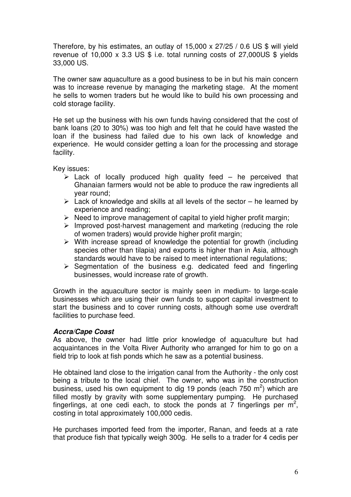Therefore, by his estimates, an outlay of 15,000 x 27/25 / 0.6 US \$ will yield revenue of 10,000 x 3.3 US  $$$  i.e. total running costs of 27,000US  $$$  yields 33,000 US.

The owner saw aquaculture as a good business to be in but his main concern was to increase revenue by managing the marketing stage. At the moment he sells to women traders but he would like to build his own processing and cold storage facility.

He set up the business with his own funds having considered that the cost of bank loans (20 to 30%) was too high and felt that he could have wasted the loan if the business had failed due to his own lack of knowledge and experience. He would consider getting a loan for the processing and storage facility.

Key issues:

- $\triangleright$  Lack of locally produced high quality feed he perceived that Ghanaian farmers would not be able to produce the raw ingredients all year round;
- $\triangleright$  Lack of knowledge and skills at all levels of the sector he learned by experience and reading;
- $\triangleright$  Need to improve management of capital to vield higher profit margin;
- $\triangleright$  Improved post-harvest management and marketing (reducing the role of women traders) would provide higher profit margin;
- $\triangleright$  With increase spread of knowledge the potential for growth (including species other than tilapia) and exports is higher than in Asia, although standards would have to be raised to meet international regulations;
- $\triangleright$  Segmentation of the business e.g. dedicated feed and fingerling businesses, would increase rate of growth.

Growth in the aquaculture sector is mainly seen in medium- to large-scale businesses which are using their own funds to support capital investment to start the business and to cover running costs, although some use overdraft facilities to purchase feed.

#### **Accra/Cape Coast**

As above, the owner had little prior knowledge of aquaculture but had acquaintances in the Volta River Authority who arranged for him to go on a field trip to look at fish ponds which he saw as a potential business.

He obtained land close to the irrigation canal from the Authority - the only cost being a tribute to the local chief. The owner, who was in the construction business, used his own equipment to dig 19 ponds (each 750  $m^2$ ) which are filled mostly by gravity with some supplementary pumping. He purchased fingerlings, at one cedi each, to stock the ponds at 7 fingerlings per  $m^2$ , costing in total approximately 100,000 cedis.

He purchases imported feed from the importer, Ranan, and feeds at a rate that produce fish that typically weigh 300g. He sells to a trader for 4 cedis per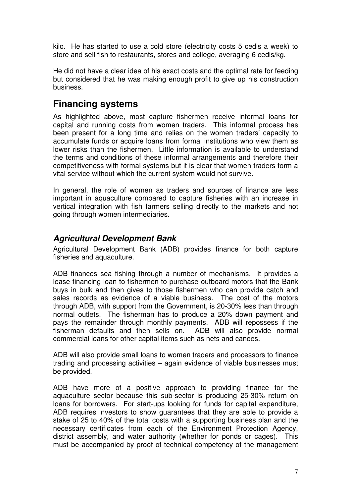kilo. He has started to use a cold store (electricity costs 5 cedis a week) to store and sell fish to restaurants, stores and college, averaging 6 cedis/kg.

He did not have a clear idea of his exact costs and the optimal rate for feeding but considered that he was making enough profit to give up his construction business.

# **Financing systems**

As highlighted above, most capture fishermen receive informal loans for capital and running costs from women traders. This informal process has been present for a long time and relies on the women traders' capacity to accumulate funds or acquire loans from formal institutions who view them as lower risks than the fishermen. Little information is available to understand the terms and conditions of these informal arrangements and therefore their competitiveness with formal systems but it is clear that women traders form a vital service without which the current system would not survive.

In general, the role of women as traders and sources of finance are less important in aquaculture compared to capture fisheries with an increase in vertical integration with fish farmers selling directly to the markets and not going through women intermediaries.

## **Agricultural Development Bank**

Agricultural Development Bank (ADB) provides finance for both capture fisheries and aquaculture.

ADB finances sea fishing through a number of mechanisms. It provides a lease financing loan to fishermen to purchase outboard motors that the Bank buys in bulk and then gives to those fishermen who can provide catch and sales records as evidence of a viable business. The cost of the motors through ADB, with support from the Government, is 20-30% less than through normal outlets. The fisherman has to produce a 20% down payment and pays the remainder through monthly payments. ADB will repossess if the fisherman defaults and then sells on. ADB will also provide normal commercial loans for other capital items such as nets and canoes.

ADB will also provide small loans to women traders and processors to finance trading and processing activities – again evidence of viable businesses must be provided.

ADB have more of a positive approach to providing finance for the aquaculture sector because this sub-sector is producing 25-30% return on loans for borrowers. For start-ups looking for funds for capital expenditure, ADB requires investors to show guarantees that they are able to provide a stake of 25 to 40% of the total costs with a supporting business plan and the necessary certificates from each of the Environment Protection Agency, district assembly, and water authority (whether for ponds or cages). This must be accompanied by proof of technical competency of the management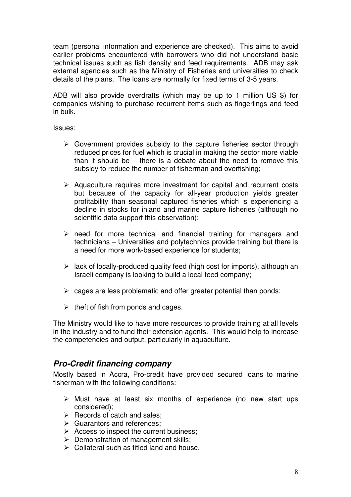team (personal information and experience are checked). This aims to avoid earlier problems encountered with borrowers who did not understand basic technical issues such as fish density and feed requirements. ADB may ask external agencies such as the Ministry of Fisheries and universities to check details of the plans. The loans are normally for fixed terms of 3-5 years.

ADB will also provide overdrafts (which may be up to 1 million US \$) for companies wishing to purchase recurrent items such as fingerlings and feed in bulk.

Issues:

- $\triangleright$  Government provides subsidy to the capture fisheries sector through reduced prices for fuel which is crucial in making the sector more viable than it should be – there is a debate about the need to remove this subsidy to reduce the number of fisherman and overfishing;
- $\triangleright$  Aquaculture requires more investment for capital and recurrent costs but because of the capacity for all-year production yields greater profitability than seasonal captured fisheries which is experiencing a decline in stocks for inland and marine capture fisheries (although no scientific data support this observation);
- $\triangleright$  need for more technical and financial training for managers and technicians – Universities and polytechnics provide training but there is a need for more work-based experience for students;
- $\triangleright$  lack of locally-produced quality feed (high cost for imports), although an Israeli company is looking to build a local feed company;
- $\triangleright$  cages are less problematic and offer greater potential than ponds;
- $\triangleright$  theft of fish from ponds and cages.

The Ministry would like to have more resources to provide training at all levels in the industry and to fund their extension agents. This would help to increase the competencies and output, particularly in aquaculture.

## **Pro-Credit financing company**

Mostly based in Accra, Pro-credit have provided secured loans to marine fisherman with the following conditions:

- $\triangleright$  Must have at least six months of experience (no new start ups considered);
- $\triangleright$  Records of catch and sales;
- $\triangleright$  Guarantors and references:
- $\triangleright$  Access to inspect the current business:
- $\triangleright$  Demonstration of management skills;
- Collateral such as titled land and house.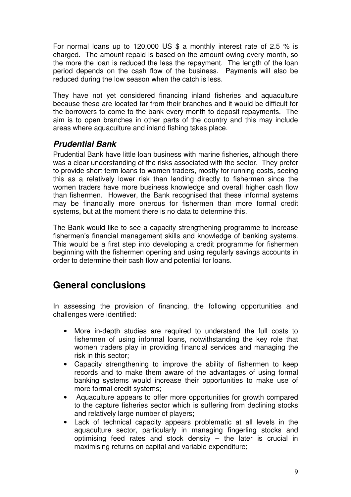For normal loans up to 120,000 US \$ a monthly interest rate of 2.5 % is charged. The amount repaid is based on the amount owing every month, so the more the loan is reduced the less the repayment. The length of the loan period depends on the cash flow of the business. Payments will also be reduced during the low season when the catch is less.

They have not yet considered financing inland fisheries and aquaculture because these are located far from their branches and it would be difficult for the borrowers to come to the bank every month to deposit repayments. The aim is to open branches in other parts of the country and this may include areas where aquaculture and inland fishing takes place.

## **Prudential Bank**

Prudential Bank have little loan business with marine fisheries, although there was a clear understanding of the risks associated with the sector. They prefer to provide short-term loans to women traders, mostly for running costs, seeing this as a relatively lower risk than lending directly to fishermen since the women traders have more business knowledge and overall higher cash flow than fishermen. However, the Bank recognised that these informal systems may be financially more onerous for fishermen than more formal credit systems, but at the moment there is no data to determine this.

The Bank would like to see a capacity strengthening programme to increase fishermen's financial management skills and knowledge of banking systems. This would be a first step into developing a credit programme for fishermen beginning with the fishermen opening and using regularly savings accounts in order to determine their cash flow and potential for loans.

# **General conclusions**

In assessing the provision of financing, the following opportunities and challenges were identified:

- More in-depth studies are required to understand the full costs to fishermen of using informal loans, notwithstanding the key role that women traders play in providing financial services and managing the risk in this sector;
- Capacity strengthening to improve the ability of fishermen to keep records and to make them aware of the advantages of using formal banking systems would increase their opportunities to make use of more formal credit systems;
- Aquaculture appears to offer more opportunities for growth compared to the capture fisheries sector which is suffering from declining stocks and relatively large number of players;
- Lack of technical capacity appears problematic at all levels in the aquaculture sector, particularly in managing fingerling stocks and optimising feed rates and stock density – the later is crucial in maximising returns on capital and variable expenditure;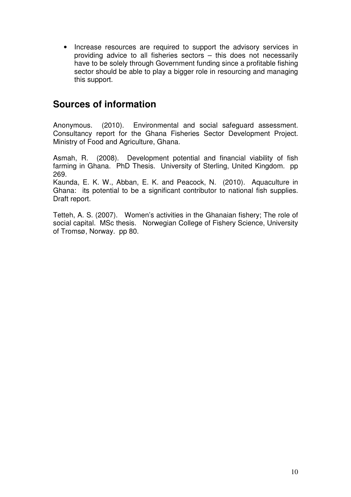• Increase resources are required to support the advisory services in providing advice to all fisheries sectors – this does not necessarily have to be solely through Government funding since a profitable fishing sector should be able to play a bigger role in resourcing and managing this support.

# **Sources of information**

Anonymous. (2010). Environmental and social safeguard assessment. Consultancy report for the Ghana Fisheries Sector Development Project. Ministry of Food and Agriculture, Ghana.

Asmah, R. (2008). Development potential and financial viability of fish farming in Ghana. PhD Thesis. University of Sterling, United Kingdom. pp 269.

Kaunda, E. K. W., Abban, E. K. and Peacock, N. (2010). Aquaculture in Ghana: its potential to be a significant contributor to national fish supplies. Draft report.

Tetteh, A. S. (2007). Women's activities in the Ghanaian fishery; The role of social capital. MSc thesis. Norwegian College of Fishery Science, University of Tromsø, Norway. pp 80.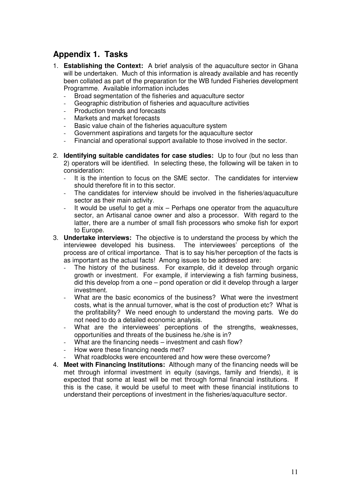## **Appendix 1. Tasks**

- 1. **Establishing the Context:** A brief analysis of the aquaculture sector in Ghana will be undertaken. Much of this information is already available and has recently been collated as part of the preparation for the WB funded Fisheries development Programme. Available information includes
	- Broad segmentation of the fisheries and aquaculture sector
	- Geographic distribution of fisheries and aquaculture activities
	- Production trends and forecasts
	- Markets and market forecasts
	- Basic value chain of the fisheries aquaculture system
	- Government aspirations and targets for the aquaculture sector
	- Financial and operational support available to those involved in the sector.
- 2. **Identifying suitable candidates for case studies:** Up to four (but no less than 2) operators will be identified. In selecting these, the following will be taken in to consideration:
	- It is the intention to focus on the SME sector. The candidates for interview should therefore fit in to this sector.
	- The candidates for interview should be involved in the fisheries/aquaculture sector as their main activity.
	- It would be useful to get a mix  $-$  Perhaps one operator from the aquaculture sector, an Artisanal canoe owner and also a processor. With regard to the latter, there are a number of small fish processors who smoke fish for export to Europe.
- 3. **Undertake interviews:** The objective is to understand the process by which the interviewee developed his business. The interviewees' perceptions of the process are of critical importance. That is to say his/her perception of the facts is as important as the actual facts! Among issues to be addressed are:
	- The history of the business. For example, did it develop through organic growth or investment. For example, if interviewing a fish farming business, did this develop from a one – pond operation or did it develop through a larger investment.
	- What are the basic economics of the business? What were the investment costs, what is the annual turnover, what is the cost of production etc? What is the profitability? We need enough to understand the moving parts. We do not need to do a detailed economic analysis.
	- What are the interviewees' perceptions of the strengths, weaknesses, opportunities and threats of the business he./she is in?
	- What are the financing needs investment and cash flow?
	- How were these financing needs met?
	- What roadblocks were encountered and how were these overcome?
- 4. **Meet with Financing Institutions:** Although many of the financing needs will be met through informal investment in equity (savings, family and friends), it is expected that some at least will be met through formal financial institutions. If this is the case, it would be useful to meet with these financial institutions to understand their perceptions of investment in the fisheries/aquaculture sector.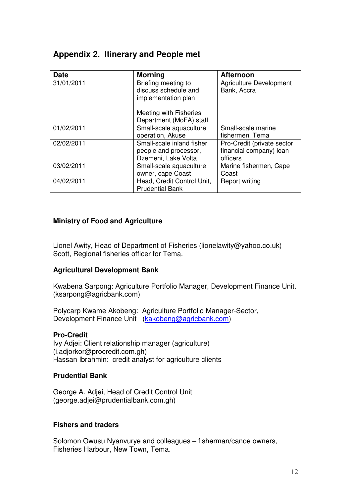## **Appendix 2. Itinerary and People met**

| <b>Date</b> | <b>Morning</b>                                                     | <b>Afternoon</b>                              |
|-------------|--------------------------------------------------------------------|-----------------------------------------------|
| 31/01/2011  | Briefing meeting to<br>discuss schedule and<br>implementation plan | <b>Agriculture Development</b><br>Bank, Accra |
|             | Meeting with Fisheries<br>Department (MoFA) staff                  |                                               |
| 01/02/2011  | Small-scale aquaculture                                            | Small-scale marine                            |
|             | operation, Akuse                                                   | fishermen, Tema                               |
| 02/02/2011  | Small-scale inland fisher                                          | Pro-Credit (private sector                    |
|             | people and processor,                                              | financial company) loan                       |
|             | Dzemeni, Lake Volta                                                | officers                                      |
| 03/02/2011  | Small-scale aquaculture                                            | Marine fishermen, Cape                        |
|             | owner, cape Coast                                                  | Coast                                         |
| 04/02/2011  | Head, Credit Control Unit,<br><b>Prudential Bank</b>               | <b>Report writing</b>                         |

#### **Ministry of Food and Agriculture**

Lionel Awity, Head of Department of Fisheries (lionelawity@yahoo.co.uk) Scott, Regional fisheries officer for Tema.

### **Agricultural Development Bank**

Kwabena Sarpong: Agriculture Portfolio Manager, Development Finance Unit. (ksarpong@agricbank.com)

Polycarp Kwame Akobeng: Agriculture Portfolio Manager-Sector, Development Finance Unit (kakobeng@agricbank.com)

#### **Pro-Credit**

Ivy Adjei: Client relationship manager (agriculture) (i.adjorkor@procredit.com.gh) Hassan Ibrahmin: credit analyst for agriculture clients

#### **Prudential Bank**

George A. Adjei, Head of Credit Control Unit (george.adjei@prudentialbank.com.gh)

#### **Fishers and traders**

Solomon Owusu Nyanvurye and colleagues – fisherman/canoe owners, Fisheries Harbour, New Town, Tema.